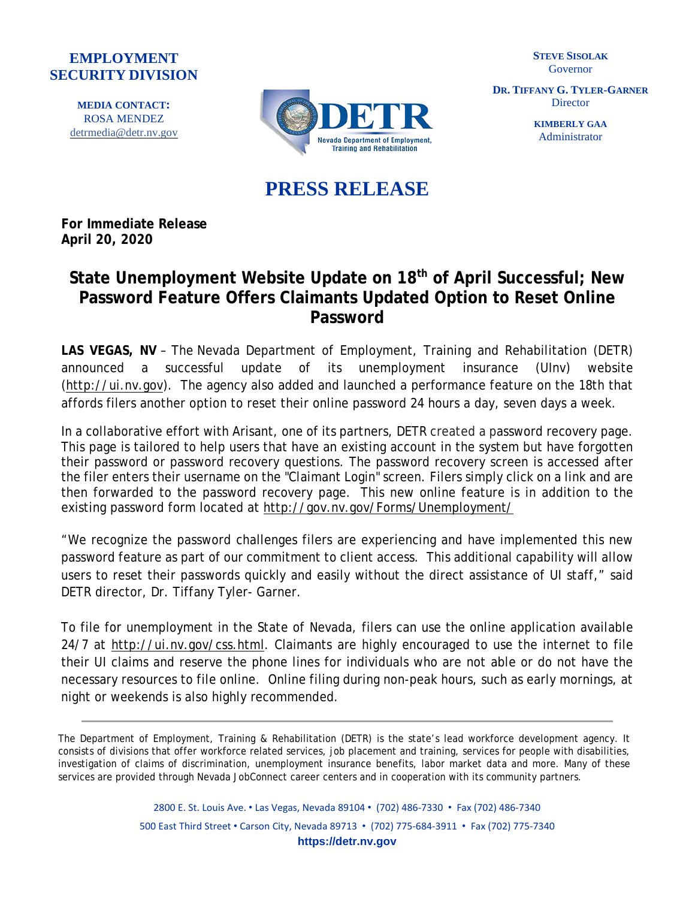## **EMPLOYMENT SECURITY DIVISION**

**MEDIA CONTACT:**  ROSA MENDEZ [detrmedia@detr.nv.gov](mailto:detrmedia@detr.nv.gov)



**STEVE SISOLAK** Governor

**DR. TIFFANY G. TYLER-GARNER Director** 

> **KIMBERLY GAA** Administrator

## **PRESS RELEASE**

**For Immediate Release April 20, 2020**

## **State Unemployment Website Update on 18th of April Successful; New Password Feature Offers Claimants Updated Option to Reset Online Password**

**LAS VEGAS, NV** – The Nevada Department of Employment, Training and Rehabilitation (DETR) announced a successful update of its unemployment insurance (UInv) website [\(http://ui.nv.gov\)](http://ui.nv.gov/). The agency also added and launched a performance feature on the 18th that affords filers another option to reset their online password 24 hours a day, seven days a week.

In a collaborative effort with Arisant, one of its partners, DETR created a password recovery page. This page is tailored to help users that have an existing account in the system but have forgotten their password or password recovery questions. The password recovery screen is accessed after the filer enters their username on the "Claimant Login" screen. Filers simply click on a link and are then forwarded to the password recovery page. This new online feature is in addition to the existing password form located at <http://gov.nv.gov/Forms/Unemployment/>

"We recognize the password challenges filers are experiencing and have implemented this new password feature as part of our commitment to client access. This additional capability will allow users to reset their passwords quickly and easily without the direct assistance of UI staff," said DETR director, Dr. Tiffany Tyler- Garner.

To file for unemployment in the State of Nevada, filers can use the online application available 24/7 at [http://ui.nv.gov/css.html.](http://ui.nv.gov/css.html) Claimants are highly encouraged to use the internet to file their UI claims and reserve the phone lines for individuals who are not able or do not have the necessary resources to file online. Online filing during non-peak hours, such as early mornings, at night or weekends is also highly recommended.

The Department of Employment, Training & Rehabilitation (DETR) is the state's lead workforce development agency. It consists of divisions that offer workforce related services, job placement and training, services for people with disabilities, investigation of claims of discrimination, unemployment insurance benefits, labor market data and more. Many of these services are provided through Nevada JobConnect career centers and in cooperation with its community partners.

> 2800 E. St. Louis Ave. • Las Vegas, Nevada 89104 • (702) 486-7330 • Fax (702) 486-7340 500 East Third Street • Carson City, Nevada 89713 • (702) 775-684-3911 • Fax (702) 775-7340 **https://detr.nv.gov**